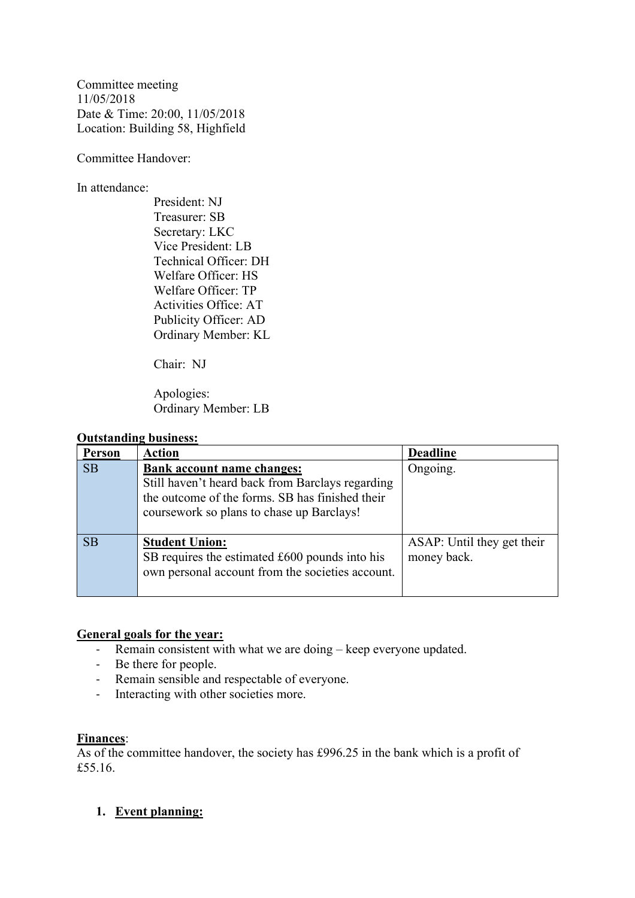Committee meeting 11/05/2018 Date & Time: 20:00, 11/05/2018 Location: Building 58, Highfield

Committee Handover:

In attendance:

President: NJ Treasurer: SB Secretary: LKC Vice President: LB Technical Officer: DH Welfare Officer: HS Welfare Officer: TP Activities Office: AT Publicity Officer: AD Ordinary Member: KL

Chair: NJ

Apologies: Ordinary Member: LB

#### **Outstanding business:**

| <b>Person</b> | <b>Action</b>                                                                                                                                                                         | <b>Deadline</b>                           |
|---------------|---------------------------------------------------------------------------------------------------------------------------------------------------------------------------------------|-------------------------------------------|
| <b>SB</b>     | <b>Bank account name changes:</b><br>Still haven't heard back from Barclays regarding<br>the outcome of the forms. SB has finished their<br>coursework so plans to chase up Barclays! | Ongoing.                                  |
| <b>SB</b>     | <b>Student Union:</b><br>SB requires the estimated £600 pounds into his<br>own personal account from the societies account.                                                           | ASAP: Until they get their<br>money back. |

#### **General goals for the year:**

- Remain consistent with what we are doing keep everyone updated.
- Be there for people.
- Remain sensible and respectable of everyone.
- Interacting with other societies more.

#### **Finances**:

As of the committee handover, the society has £996.25 in the bank which is a profit of £55.16.

#### **1. Event planning:**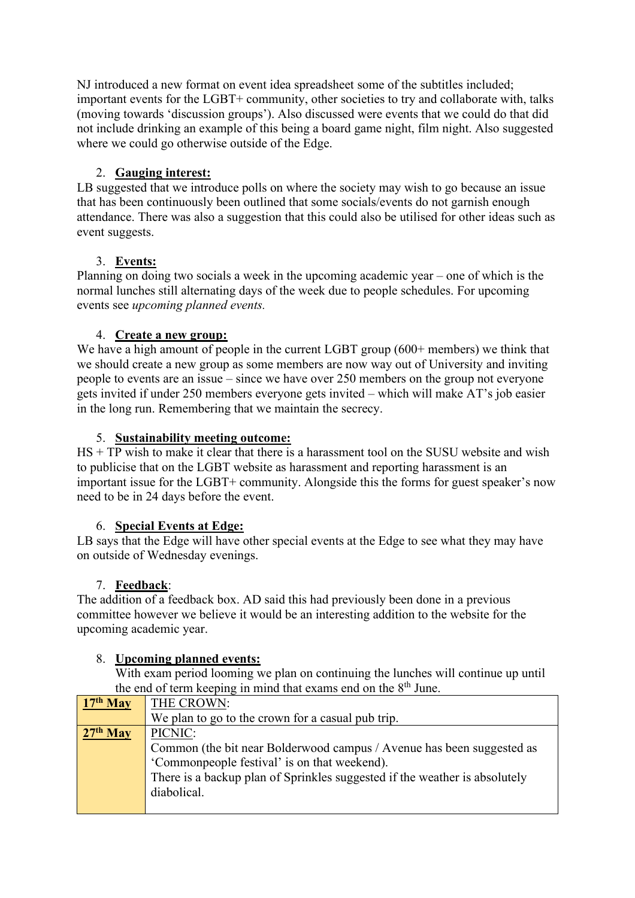NJ introduced a new format on event idea spreadsheet some of the subtitles included; important events for the LGBT+ community, other societies to try and collaborate with, talks (moving towards 'discussion groups'). Also discussed were events that we could do that did not include drinking an example of this being a board game night, film night. Also suggested where we could go otherwise outside of the Edge.

### 2. **Gauging interest:**

LB suggested that we introduce polls on where the society may wish to go because an issue that has been continuously been outlined that some socials/events do not garnish enough attendance. There was also a suggestion that this could also be utilised for other ideas such as event suggests.

## 3. **Events:**

Planning on doing two socials a week in the upcoming academic year – one of which is the normal lunches still alternating days of the week due to people schedules. For upcoming events see *upcoming planned events.*

## 4. **Create a new group:**

We have a high amount of people in the current LGBT group (600+ members) we think that we should create a new group as some members are now way out of University and inviting people to events are an issue – since we have over 250 members on the group not everyone gets invited if under 250 members everyone gets invited – which will make AT's job easier in the long run. Remembering that we maintain the secrecy.

### 5. **Sustainability meeting outcome:**

HS + TP wish to make it clear that there is a harassment tool on the SUSU website and wish to publicise that on the LGBT website as harassment and reporting harassment is an important issue for the LGBT+ community. Alongside this the forms for guest speaker's now need to be in 24 days before the event.

### 6. **Special Events at Edge:**

LB says that the Edge will have other special events at the Edge to see what they may have on outside of Wednesday evenings.

### 7. **Feedback**:

The addition of a feedback box. AD said this had previously been done in a previous committee however we believe it would be an interesting addition to the website for the upcoming academic year.

# 8. **Upcoming planned events:**

With exam period looming we plan on continuing the lunches will continue up until the end of term keeping in mind that exams end on the  $8<sup>th</sup>$  June.

| the end of term neeping in mind that end once on the $\sigma$ valle. |                                                                            |  |  |
|----------------------------------------------------------------------|----------------------------------------------------------------------------|--|--|
| $17th$ May                                                           | THE CROWN:                                                                 |  |  |
|                                                                      | We plan to go to the crown for a casual pub trip.                          |  |  |
| $27th$ May                                                           | PICNIC:                                                                    |  |  |
|                                                                      | Common (the bit near Bolderwood campus / Avenue has been suggested as      |  |  |
|                                                                      | 'Commonpeople festival' is on that weekend).                               |  |  |
|                                                                      | There is a backup plan of Sprinkles suggested if the weather is absolutely |  |  |
|                                                                      | diabolical.                                                                |  |  |
|                                                                      |                                                                            |  |  |